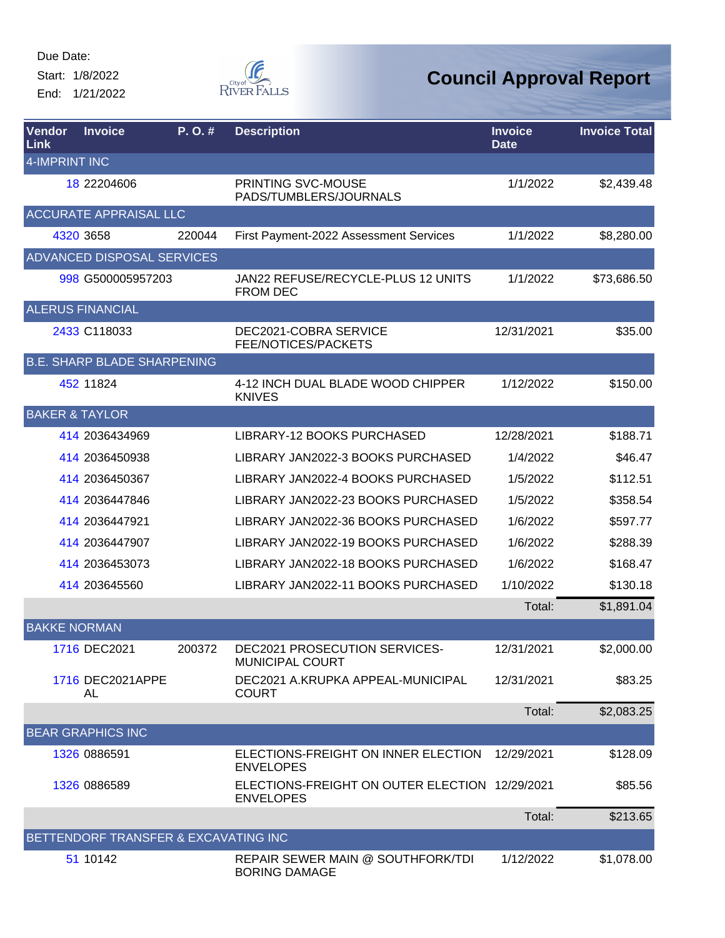Start: 1/8/2022

End: 1/21/2022



| Vendor<br>Link            | <b>Invoice</b>                       | P.O.#  | <b>Description</b>                                                 | <b>Invoice</b><br><b>Date</b> | <b>Invoice Total</b> |
|---------------------------|--------------------------------------|--------|--------------------------------------------------------------------|-------------------------------|----------------------|
| <b>4-IMPRINT INC</b>      |                                      |        |                                                                    |                               |                      |
|                           | 18 22204606                          |        | <b>PRINTING SVC-MOUSE</b><br>PADS/TUMBLERS/JOURNALS                | 1/1/2022                      | \$2,439.48           |
|                           | <b>ACCURATE APPRAISAL LLC</b>        |        |                                                                    |                               |                      |
|                           | 4320 3658                            | 220044 | First Payment-2022 Assessment Services                             | 1/1/2022                      | \$8,280.00           |
|                           | ADVANCED DISPOSAL SERVICES           |        |                                                                    |                               |                      |
|                           | 998 G500005957203                    |        | JAN22 REFUSE/RECYCLE-PLUS 12 UNITS<br><b>FROM DEC</b>              | 1/1/2022                      | \$73,686.50          |
|                           | <b>ALERUS FINANCIAL</b>              |        |                                                                    |                               |                      |
|                           | 2433 C118033                         |        | DEC2021-COBRA SERVICE<br>FEE/NOTICES/PACKETS                       | 12/31/2021                    | \$35.00              |
|                           | <b>B.E. SHARP BLADE SHARPENING</b>   |        |                                                                    |                               |                      |
|                           | 452 11824                            |        | 4-12 INCH DUAL BLADE WOOD CHIPPER<br><b>KNIVES</b>                 | 1/12/2022                     | \$150.00             |
| <b>BAKER &amp; TAYLOR</b> |                                      |        |                                                                    |                               |                      |
|                           | 414 2036434969                       |        | LIBRARY-12 BOOKS PURCHASED                                         | 12/28/2021                    | \$188.71             |
|                           | 414 2036450938                       |        | LIBRARY JAN2022-3 BOOKS PURCHASED                                  | 1/4/2022                      | \$46.47              |
|                           | 414 2036450367                       |        | LIBRARY JAN2022-4 BOOKS PURCHASED                                  | 1/5/2022                      | \$112.51             |
|                           | 414 2036447846                       |        | LIBRARY JAN2022-23 BOOKS PURCHASED                                 | 1/5/2022                      | \$358.54             |
|                           | 414 2036447921                       |        | LIBRARY JAN2022-36 BOOKS PURCHASED                                 | 1/6/2022                      | \$597.77             |
|                           | 414 2036447907                       |        | LIBRARY JAN2022-19 BOOKS PURCHASED                                 | 1/6/2022                      | \$288.39             |
|                           | 414 2036453073                       |        | LIBRARY JAN2022-18 BOOKS PURCHASED                                 | 1/6/2022                      | \$168.47             |
|                           | 414 203645560                        |        | LIBRARY JAN2022-11 BOOKS PURCHASED                                 | 1/10/2022                     | \$130.18             |
|                           |                                      |        |                                                                    | Total:                        | \$1,891.04           |
| <b>BAKKE NORMAN</b>       |                                      |        |                                                                    |                               |                      |
|                           | 1716 DEC2021                         | 200372 | DEC2021 PROSECUTION SERVICES-<br>MUNICIPAL COURT                   | 12/31/2021                    | \$2,000.00           |
|                           | 1716 DEC2021APPE<br>AL               |        | DEC2021 A.KRUPKA APPEAL-MUNICIPAL<br><b>COURT</b>                  | 12/31/2021                    | \$83.25              |
|                           |                                      |        |                                                                    | Total:                        | \$2,083.25           |
|                           | <b>BEAR GRAPHICS INC</b>             |        |                                                                    |                               |                      |
|                           | 1326 0886591                         |        | ELECTIONS-FREIGHT ON INNER ELECTION<br><b>ENVELOPES</b>            | 12/29/2021                    | \$128.09             |
|                           | 1326 0886589                         |        | ELECTIONS-FREIGHT ON OUTER ELECTION 12/29/2021<br><b>ENVELOPES</b> |                               | \$85.56              |
|                           |                                      |        |                                                                    | Total:                        | \$213.65             |
|                           | BETTENDORF TRANSFER & EXCAVATING INC |        |                                                                    |                               |                      |
|                           | 51 10142                             |        | REPAIR SEWER MAIN @ SOUTHFORK/TDI<br><b>BORING DAMAGE</b>          | 1/12/2022                     | \$1,078.00           |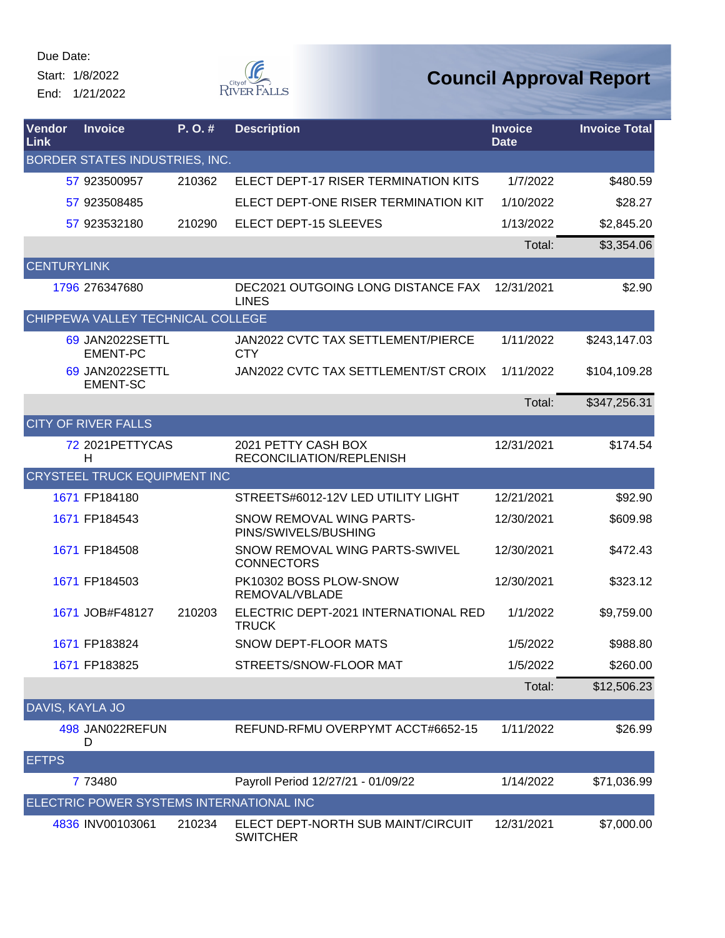Start: 1/8/2022

End: 1/21/2022



| <b>Vendor</b><br>Link | <b>Invoice</b>                           | P. O. # | <b>Description</b>                                    | <b>Invoice</b><br><b>Date</b> | <b>Invoice Total</b> |
|-----------------------|------------------------------------------|---------|-------------------------------------------------------|-------------------------------|----------------------|
|                       | BORDER STATES INDUSTRIES, INC.           |         |                                                       |                               |                      |
|                       | 57 923500957                             | 210362  | ELECT DEPT-17 RISER TERMINATION KITS                  | 1/7/2022                      | \$480.59             |
|                       | 57 923508485                             |         | ELECT DEPT-ONE RISER TERMINATION KIT                  | 1/10/2022                     | \$28.27              |
|                       | 57 923532180                             | 210290  | ELECT DEPT-15 SLEEVES                                 | 1/13/2022                     | \$2,845.20           |
|                       |                                          |         |                                                       | Total:                        | \$3,354.06           |
| <b>CENTURYLINK</b>    |                                          |         |                                                       |                               |                      |
|                       | 1796 276347680                           |         | DEC2021 OUTGOING LONG DISTANCE FAX<br><b>LINES</b>    | 12/31/2021                    | \$2.90               |
|                       | CHIPPEWA VALLEY TECHNICAL COLLEGE        |         |                                                       |                               |                      |
|                       | 69 JAN2022SETTL<br><b>EMENT-PC</b>       |         | JAN2022 CVTC TAX SETTLEMENT/PIERCE<br><b>CTY</b>      | 1/11/2022                     | \$243,147.03         |
|                       | 69 JAN2022SETTL<br><b>EMENT-SC</b>       |         | JAN2022 CVTC TAX SETTLEMENT/ST CROIX                  | 1/11/2022                     | \$104,109.28         |
|                       |                                          |         |                                                       | Total:                        | \$347,256.31         |
|                       | <b>CITY OF RIVER FALLS</b>               |         |                                                       |                               |                      |
|                       | 72 2021 PETTY CAS<br>н                   |         | 2021 PETTY CASH BOX<br>RECONCILIATION/REPLENISH       | 12/31/2021                    | \$174.54             |
|                       | <b>CRYSTEEL TRUCK EQUIPMENT INC</b>      |         |                                                       |                               |                      |
|                       | 1671 FP184180                            |         | STREETS#6012-12V LED UTILITY LIGHT                    | 12/21/2021                    | \$92.90              |
|                       | 1671 FP184543                            |         | SNOW REMOVAL WING PARTS-<br>PINS/SWIVELS/BUSHING      | 12/30/2021                    | \$609.98             |
|                       | 1671 FP184508                            |         | SNOW REMOVAL WING PARTS-SWIVEL<br><b>CONNECTORS</b>   | 12/30/2021                    | \$472.43             |
|                       | 1671 FP184503                            |         | PK10302 BOSS PLOW-SNOW<br>REMOVAL/VBLADE              | 12/30/2021                    | \$323.12             |
|                       | 1671 JOB#F48127                          | 210203  | ELECTRIC DEPT-2021 INTERNATIONAL RED<br><b>TRUCK</b>  | 1/1/2022                      | \$9,759.00           |
|                       | 1671 FP183824                            |         | SNOW DEPT-FLOOR MATS                                  | 1/5/2022                      | \$988.80             |
|                       | 1671 FP183825                            |         | STREETS/SNOW-FLOOR MAT                                | 1/5/2022                      | \$260.00             |
|                       |                                          |         |                                                       | Total:                        | \$12,506.23          |
| DAVIS, KAYLA JO       |                                          |         |                                                       |                               |                      |
|                       | 498 JAN022REFUN<br>D                     |         | REFUND-RFMU OVERPYMT ACCT#6652-15                     | 1/11/2022                     | \$26.99              |
| <b>EFTPS</b>          |                                          |         |                                                       |                               |                      |
|                       | 7 73480                                  |         | Payroll Period 12/27/21 - 01/09/22                    | 1/14/2022                     | \$71,036.99          |
|                       | ELECTRIC POWER SYSTEMS INTERNATIONAL INC |         |                                                       |                               |                      |
|                       | 4836 INV00103061                         | 210234  | ELECT DEPT-NORTH SUB MAINT/CIRCUIT<br><b>SWITCHER</b> | 12/31/2021                    | \$7,000.00           |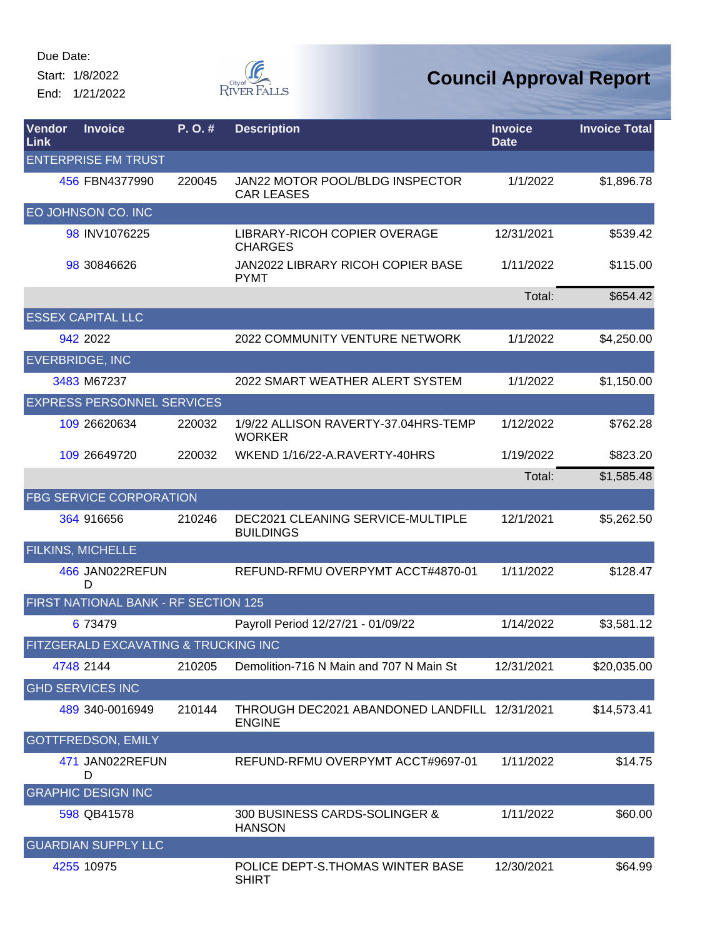Start: 1/8/2022 End: 1/21/2022  $\begin{matrix} \mathbb{C}^{\text{City of}} \\ \text{RIVER FALS} \end{matrix}$ 

| Vendor<br>Link | <b>Invoice</b>                       | P. O. # | <b>Description</b>                                             | <b>Invoice</b><br><b>Date</b> | <b>Invoice Total</b> |
|----------------|--------------------------------------|---------|----------------------------------------------------------------|-------------------------------|----------------------|
|                | <b>ENTERPRISE FM TRUST</b>           |         |                                                                |                               |                      |
|                | 456 FBN4377990                       | 220045  | JAN22 MOTOR POOL/BLDG INSPECTOR<br><b>CAR LEASES</b>           | 1/1/2022                      | \$1,896.78           |
|                | EO JOHNSON CO. INC                   |         |                                                                |                               |                      |
|                | 98 INV1076225                        |         | LIBRARY-RICOH COPIER OVERAGE<br><b>CHARGES</b>                 | 12/31/2021                    | \$539.42             |
|                | 98 30846626                          |         | JAN2022 LIBRARY RICOH COPIER BASE<br><b>PYMT</b>               | 1/11/2022                     | \$115.00             |
|                |                                      |         |                                                                | Total:                        | \$654.42             |
|                | <b>ESSEX CAPITAL LLC</b>             |         |                                                                |                               |                      |
|                | 942 2022                             |         | 2022 COMMUNITY VENTURE NETWORK                                 | 1/1/2022                      | \$4,250.00           |
|                | <b>EVERBRIDGE, INC</b>               |         |                                                                |                               |                      |
|                | 3483 M67237                          |         | 2022 SMART WEATHER ALERT SYSTEM                                | 1/1/2022                      | \$1,150.00           |
|                | <b>EXPRESS PERSONNEL SERVICES</b>    |         |                                                                |                               |                      |
|                | 109 26620634                         | 220032  | 1/9/22 ALLISON RAVERTY-37.04HRS-TEMP<br><b>WORKER</b>          | 1/12/2022                     | \$762.28             |
|                | 109 26649720                         | 220032  | WKEND 1/16/22-A.RAVERTY-40HRS                                  | 1/19/2022                     | \$823.20             |
|                |                                      |         |                                                                | Total:                        | \$1,585.48           |
|                | <b>FBG SERVICE CORPORATION</b>       |         |                                                                |                               |                      |
|                | 364 916656                           | 210246  | DEC2021 CLEANING SERVICE-MULTIPLE<br><b>BUILDINGS</b>          | 12/1/2021                     | \$5,262.50           |
|                | <b>FILKINS, MICHELLE</b>             |         |                                                                |                               |                      |
|                | 466 JAN022REFUN<br>D                 |         | REFUND-RFMU OVERPYMT ACCT#4870-01                              | 1/11/2022                     | \$128.47             |
|                | FIRST NATIONAL BANK - RF SECTION 125 |         |                                                                |                               |                      |
|                | 6 73479                              |         | Payroll Period 12/27/21 - 01/09/22                             | 1/14/2022                     | \$3,581.12           |
|                | FITZGERALD EXCAVATING & TRUCKING INC |         |                                                                |                               |                      |
|                | 4748 2144                            | 210205  | Demolition-716 N Main and 707 N Main St                        | 12/31/2021                    | \$20,035.00          |
|                | <b>GHD SERVICES INC</b>              |         |                                                                |                               |                      |
|                | 489 340-0016949                      | 210144  | THROUGH DEC2021 ABANDONED LANDFILL 12/31/2021<br><b>ENGINE</b> |                               | \$14,573.41          |
|                | <b>GOTTFREDSON, EMILY</b>            |         |                                                                |                               |                      |
|                | 471 JAN022REFUN<br>D                 |         | REFUND-RFMU OVERPYMT ACCT#9697-01                              | 1/11/2022                     | \$14.75              |
|                | <b>GRAPHIC DESIGN INC</b>            |         |                                                                |                               |                      |
|                | 598 QB41578                          |         | 300 BUSINESS CARDS-SOLINGER &<br><b>HANSON</b>                 | 1/11/2022                     | \$60.00              |
|                | <b>GUARDIAN SUPPLY LLC</b>           |         |                                                                |                               |                      |
|                | 4255 10975                           |         | POLICE DEPT-S. THOMAS WINTER BASE<br><b>SHIRT</b>              | 12/30/2021                    | \$64.99              |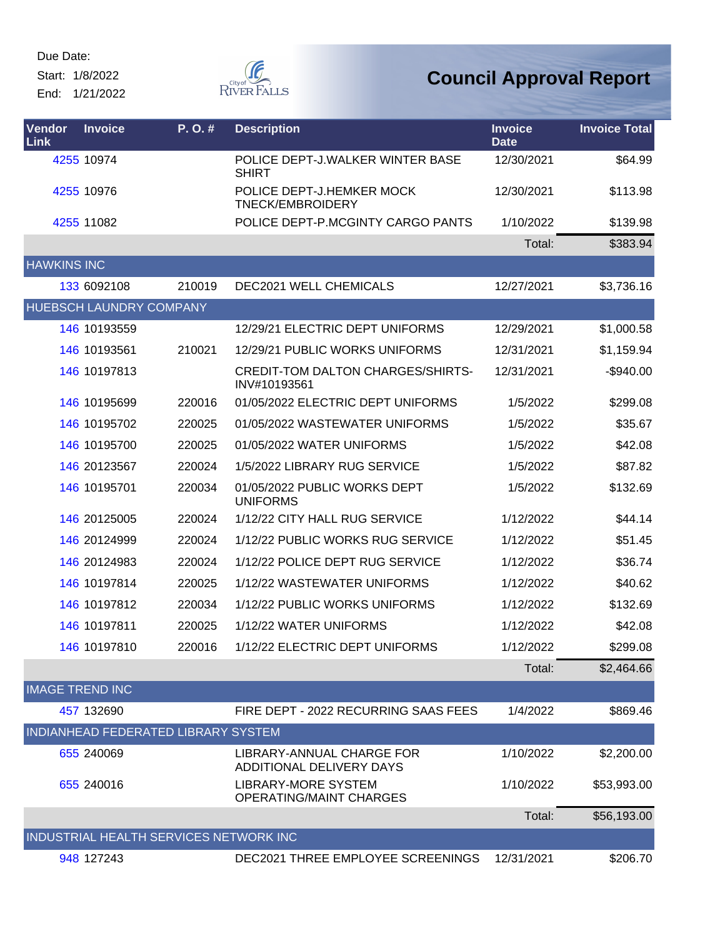Start: 1/8/2022

End: 1/21/2022



| Vendor<br>Link         | <b>Invoice</b>                 | P.O.#                                  | <b>Description</b>                                           | <b>Invoice</b><br><b>Date</b> | <b>Invoice Total</b> |
|------------------------|--------------------------------|----------------------------------------|--------------------------------------------------------------|-------------------------------|----------------------|
|                        | 4255 10974                     |                                        | POLICE DEPT-J.WALKER WINTER BASE<br><b>SHIRT</b>             | 12/30/2021                    | \$64.99              |
|                        | 4255 10976                     |                                        | POLICE DEPT-J.HEMKER MOCK<br>TNECK/EMBROIDERY                | 12/30/2021                    | \$113.98             |
|                        | 4255 11082                     |                                        | POLICE DEPT-P.MCGINTY CARGO PANTS                            | 1/10/2022                     | \$139.98             |
|                        |                                |                                        |                                                              | Total:                        | \$383.94             |
| <b>HAWKINS INC</b>     |                                |                                        |                                                              |                               |                      |
|                        | 133 6092108                    | 210019                                 | DEC2021 WELL CHEMICALS                                       | 12/27/2021                    | \$3,736.16           |
|                        | <b>HUEBSCH LAUNDRY COMPANY</b> |                                        |                                                              |                               |                      |
|                        | 146 10193559                   |                                        | 12/29/21 ELECTRIC DEPT UNIFORMS                              | 12/29/2021                    | \$1,000.58           |
|                        | 146 10193561                   | 210021                                 | 12/29/21 PUBLIC WORKS UNIFORMS                               | 12/31/2021                    | \$1,159.94           |
|                        | 146 10197813                   |                                        | <b>CREDIT-TOM DALTON CHARGES/SHIRTS-</b><br>INV#10193561     | 12/31/2021                    | $-$940.00$           |
|                        | 146 10195699                   | 220016                                 | 01/05/2022 ELECTRIC DEPT UNIFORMS                            | 1/5/2022                      | \$299.08             |
|                        | 146 10195702                   | 220025                                 | 01/05/2022 WASTEWATER UNIFORMS                               | 1/5/2022                      | \$35.67              |
|                        | 146 10195700                   | 220025                                 | 01/05/2022 WATER UNIFORMS                                    | 1/5/2022                      | \$42.08              |
|                        | 146 20123567                   | 220024                                 | 1/5/2022 LIBRARY RUG SERVICE                                 | 1/5/2022                      | \$87.82              |
|                        | 146 10195701                   | 220034                                 | 01/05/2022 PUBLIC WORKS DEPT<br><b>UNIFORMS</b>              | 1/5/2022                      | \$132.69             |
|                        | 146 20125005                   | 220024                                 | 1/12/22 CITY HALL RUG SERVICE                                | 1/12/2022                     | \$44.14              |
|                        | 146 20124999                   | 220024                                 | 1/12/22 PUBLIC WORKS RUG SERVICE                             | 1/12/2022                     | \$51.45              |
|                        | 146 20124983                   | 220024                                 | 1/12/22 POLICE DEPT RUG SERVICE                              | 1/12/2022                     | \$36.74              |
|                        | 146 10197814                   | 220025                                 | 1/12/22 WASTEWATER UNIFORMS                                  | 1/12/2022                     | \$40.62              |
|                        | 146 10197812                   | 220034                                 | 1/12/22 PUBLIC WORKS UNIFORMS                                | 1/12/2022                     | \$132.69             |
|                        | 146 10197811                   | 220025                                 | 1/12/22 WATER UNIFORMS                                       | 1/12/2022                     | \$42.08              |
|                        | 146 10197810                   | 220016                                 | 1/12/22 ELECTRIC DEPT UNIFORMS                               | 1/12/2022                     | \$299.08             |
|                        |                                |                                        |                                                              | Total:                        | \$2,464.66           |
| <b>IMAGE TREND INC</b> |                                |                                        |                                                              |                               |                      |
|                        | 457 132690                     |                                        | FIRE DEPT - 2022 RECURRING SAAS FEES                         | 1/4/2022                      | \$869.46             |
|                        |                                | INDIANHEAD FEDERATED LIBRARY SYSTEM    |                                                              |                               |                      |
|                        | 655 240069                     |                                        | LIBRARY-ANNUAL CHARGE FOR<br>ADDITIONAL DELIVERY DAYS        | 1/10/2022                     | \$2,200.00           |
|                        | 655 240016                     |                                        | <b>LIBRARY-MORE SYSTEM</b><br><b>OPERATING/MAINT CHARGES</b> | 1/10/2022                     | \$53,993.00          |
|                        |                                |                                        |                                                              | Total:                        | \$56,193.00          |
|                        |                                | INDUSTRIAL HEALTH SERVICES NETWORK INC |                                                              |                               |                      |
|                        | 948 127243                     |                                        | DEC2021 THREE EMPLOYEE SCREENINGS                            | 12/31/2021                    | \$206.70             |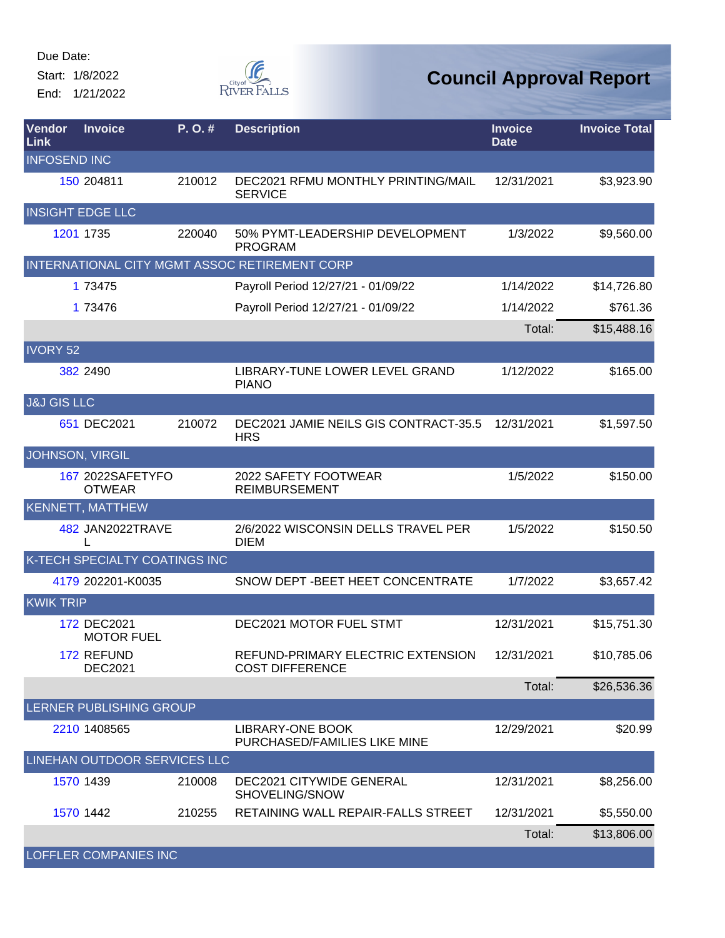Start: 1/8/2022

End: 1/21/2022



| Vendor<br>Link         | <b>Invoice</b>                    | P. O. # | <b>Description</b>                                          | <b>Invoice</b><br><b>Date</b> | <b>Invoice Total</b> |
|------------------------|-----------------------------------|---------|-------------------------------------------------------------|-------------------------------|----------------------|
| <b>INFOSEND INC</b>    |                                   |         |                                                             |                               |                      |
|                        | 150 204811                        | 210012  | DEC2021 RFMU MONTHLY PRINTING/MAIL<br><b>SERVICE</b>        | 12/31/2021                    | \$3,923.90           |
|                        | <b>INSIGHT EDGE LLC</b>           |         |                                                             |                               |                      |
|                        | 1201 1735                         | 220040  | 50% PYMT-LEADERSHIP DEVELOPMENT<br><b>PROGRAM</b>           | 1/3/2022                      | \$9,560.00           |
|                        |                                   |         | INTERNATIONAL CITY MGMT ASSOC RETIREMENT CORP               |                               |                      |
|                        | 1 73475                           |         | Payroll Period 12/27/21 - 01/09/22                          | 1/14/2022                     | \$14,726.80          |
|                        | 1 73476                           |         | Payroll Period 12/27/21 - 01/09/22                          | 1/14/2022                     | \$761.36             |
|                        |                                   |         |                                                             | Total:                        | \$15,488.16          |
| <b>IVORY 52</b>        |                                   |         |                                                             |                               |                      |
|                        | 382 2490                          |         | LIBRARY-TUNE LOWER LEVEL GRAND<br><b>PIANO</b>              | 1/12/2022                     | \$165.00             |
| <b>J&amp;J GIS LLC</b> |                                   |         |                                                             |                               |                      |
|                        | 651 DEC2021                       | 210072  | DEC2021 JAMIE NEILS GIS CONTRACT-35.5<br><b>HRS</b>         | 12/31/2021                    | \$1,597.50           |
|                        | <b>JOHNSON, VIRGIL</b>            |         |                                                             |                               |                      |
|                        | 167 2022SAFETYFO<br><b>OTWEAR</b> |         | 2022 SAFETY FOOTWEAR<br><b>REIMBURSEMENT</b>                | 1/5/2022                      | \$150.00             |
|                        | <b>KENNETT, MATTHEW</b>           |         |                                                             |                               |                      |
|                        | 482 JAN2022TRAVE<br>L             |         | 2/6/2022 WISCONSIN DELLS TRAVEL PER<br><b>DIEM</b>          | 1/5/2022                      | \$150.50             |
|                        | K-TECH SPECIALTY COATINGS INC     |         |                                                             |                               |                      |
|                        | 4179 202201-K0035                 |         | SNOW DEPT - BEET HEET CONCENTRATE                           | 1/7/2022                      | \$3,657.42           |
| <b>KWIK TRIP</b>       |                                   |         |                                                             |                               |                      |
|                        | 172 DEC2021<br><b>MOTOR FUEL</b>  |         | <b>DEC2021 MOTOR FUEL STMT</b>                              | 12/31/2021                    | \$15,751.30          |
|                        | 172 REFUND<br><b>DEC2021</b>      |         | REFUND-PRIMARY ELECTRIC EXTENSION<br><b>COST DIFFERENCE</b> | 12/31/2021                    | \$10,785.06          |
|                        |                                   |         |                                                             | Total:                        | \$26,536.36          |
|                        | LERNER PUBLISHING GROUP           |         |                                                             |                               |                      |
|                        | 2210 1408565                      |         | LIBRARY-ONE BOOK<br>PURCHASED/FAMILIES LIKE MINE            | 12/29/2021                    | \$20.99              |
|                        | LINEHAN OUTDOOR SERVICES LLC      |         |                                                             |                               |                      |
|                        | 1570 1439                         | 210008  | <b>DEC2021 CITYWIDE GENERAL</b><br>SHOVELING/SNOW           | 12/31/2021                    | \$8,256.00           |
|                        | 1570 1442                         | 210255  | RETAINING WALL REPAIR-FALLS STREET                          | 12/31/2021                    | \$5,550.00           |
|                        |                                   |         |                                                             | Total:                        | \$13,806.00          |
|                        | <b>LOFFLER COMPANIES INC</b>      |         |                                                             |                               |                      |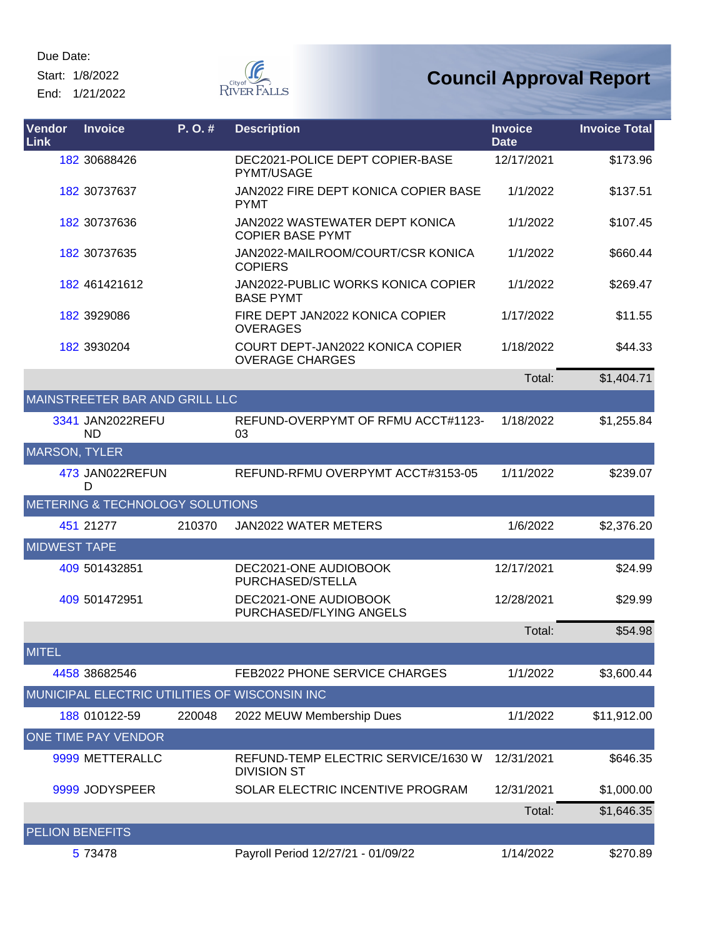Start: 1/8/2022

End: 1/21/2022



| Vendor<br>Link         | <b>Invoice</b>                  | P. O. # | <b>Description</b>                                         | <b>Invoice</b><br><b>Date</b> | <b>Invoice Total</b> |
|------------------------|---------------------------------|---------|------------------------------------------------------------|-------------------------------|----------------------|
|                        | 182 30688426                    |         | DEC2021-POLICE DEPT COPIER-BASE<br><b>PYMT/USAGE</b>       | 12/17/2021                    | \$173.96             |
|                        | 182 30737637                    |         | JAN2022 FIRE DEPT KONICA COPIER BASE<br><b>PYMT</b>        | 1/1/2022                      | \$137.51             |
|                        | 182 30737636                    |         | JAN2022 WASTEWATER DEPT KONICA<br><b>COPIER BASE PYMT</b>  | 1/1/2022                      | \$107.45             |
|                        | 182 30737635                    |         | JAN2022-MAILROOM/COURT/CSR KONICA<br><b>COPIERS</b>        | 1/1/2022                      | \$660.44             |
|                        | 182 461421612                   |         | JAN2022-PUBLIC WORKS KONICA COPIER<br><b>BASE PYMT</b>     | 1/1/2022                      | \$269.47             |
|                        | 182 3929086                     |         | FIRE DEPT JAN2022 KONICA COPIER<br><b>OVERAGES</b>         | 1/17/2022                     | \$11.55              |
|                        | 182 3930204                     |         | COURT DEPT-JAN2022 KONICA COPIER<br><b>OVERAGE CHARGES</b> | 1/18/2022                     | \$44.33              |
|                        |                                 |         |                                                            | Total:                        | \$1,404.71           |
|                        | MAINSTREETER BAR AND GRILL LLC  |         |                                                            |                               |                      |
|                        | 3341 JAN2022REFU<br><b>ND</b>   |         | REFUND-OVERPYMT OF RFMU ACCT#1123-<br>03                   | 1/18/2022                     | \$1,255.84           |
| <b>MARSON, TYLER</b>   |                                 |         |                                                            |                               |                      |
|                        | 473 JAN022REFUN<br>D            |         | REFUND-RFMU OVERPYMT ACCT#3153-05                          | 1/11/2022                     | \$239.07             |
|                        | METERING & TECHNOLOGY SOLUTIONS |         |                                                            |                               |                      |
|                        | 451 21277                       | 210370  | <b>JAN2022 WATER METERS</b>                                | 1/6/2022                      | \$2,376.20           |
| <b>MIDWEST TAPE</b>    |                                 |         |                                                            |                               |                      |
|                        | 409 501432851                   |         | DEC2021-ONE AUDIOBOOK<br>PURCHASED/STELLA                  | 12/17/2021                    | \$24.99              |
|                        | 409 501472951                   |         | DEC2021-ONE AUDIOBOOK<br>PURCHASED/FLYING ANGELS           | 12/28/2021                    | \$29.99              |
|                        |                                 |         |                                                            | Total:                        | \$54.98              |
| <b>MITEL</b>           |                                 |         |                                                            |                               |                      |
|                        | 4458 38682546                   |         | FEB2022 PHONE SERVICE CHARGES                              | 1/1/2022                      | \$3,600.44           |
|                        |                                 |         | MUNICIPAL ELECTRIC UTILITIES OF WISCONSIN INC              |                               |                      |
|                        | 188 010122-59                   | 220048  | 2022 MEUW Membership Dues                                  | 1/1/2022                      | \$11,912.00          |
|                        | ONE TIME PAY VENDOR             |         |                                                            |                               |                      |
|                        | 9999 METTERALLC                 |         | REFUND-TEMP ELECTRIC SERVICE/1630 W<br><b>DIVISION ST</b>  | 12/31/2021                    | \$646.35             |
|                        | 9999 JODYSPEER                  |         | SOLAR ELECTRIC INCENTIVE PROGRAM                           | 12/31/2021                    | \$1,000.00           |
|                        |                                 |         |                                                            | Total:                        | \$1,646.35           |
| <b>PELION BENEFITS</b> |                                 |         |                                                            |                               |                      |
|                        | 5 73478                         |         | Payroll Period 12/27/21 - 01/09/22                         | 1/14/2022                     | \$270.89             |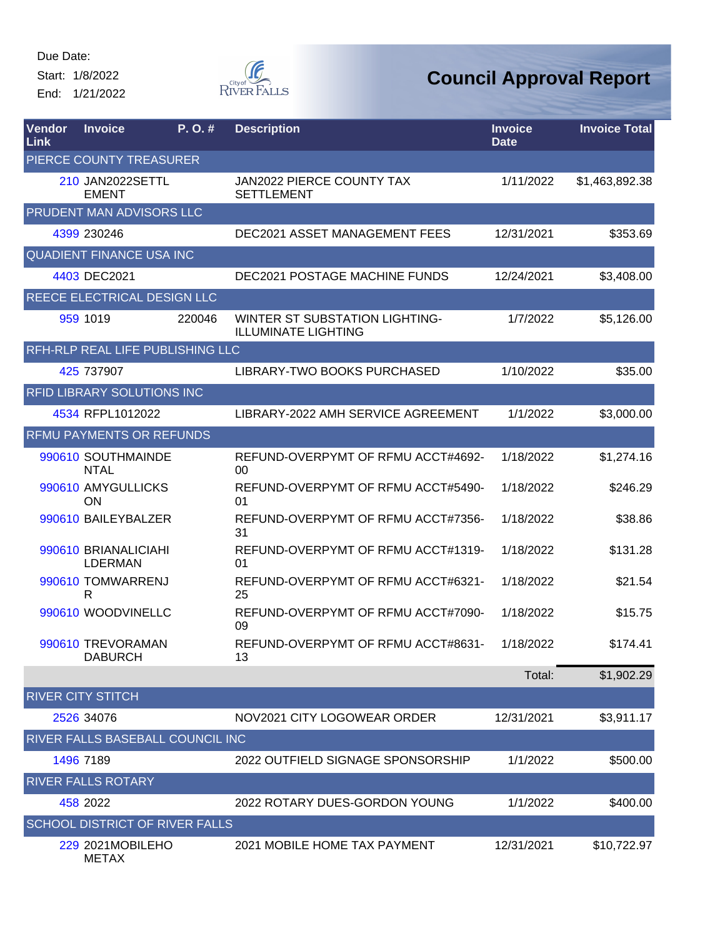Start: 1/8/2022

End: 1/21/2022



| Vendor<br>Link | <b>Invoice</b>                         | P. O. # | <b>Description</b>                                           | <b>Invoice</b><br><b>Date</b> | <b>Invoice Total</b> |
|----------------|----------------------------------------|---------|--------------------------------------------------------------|-------------------------------|----------------------|
|                | PIERCE COUNTY TREASURER                |         |                                                              |                               |                      |
|                | 210 JAN2022SETTL<br><b>EMENT</b>       |         | <b>JAN2022 PIERCE COUNTY TAX</b><br><b>SETTLEMENT</b>        | 1/11/2022                     | \$1,463,892.38       |
|                | PRUDENT MAN ADVISORS LLC               |         |                                                              |                               |                      |
|                | 4399 230246                            |         | <b>DEC2021 ASSET MANAGEMENT FEES</b>                         | 12/31/2021                    | \$353.69             |
|                | <b>QUADIENT FINANCE USA INC</b>        |         |                                                              |                               |                      |
|                | 4403 DEC2021                           |         | <b>DEC2021 POSTAGE MACHINE FUNDS</b>                         | 12/24/2021                    | \$3,408.00           |
|                | REECE ELECTRICAL DESIGN LLC            |         |                                                              |                               |                      |
|                | 959 1019                               | 220046  | WINTER ST SUBSTATION LIGHTING-<br><b>ILLUMINATE LIGHTING</b> | 1/7/2022                      | \$5,126.00           |
|                | RFH-RLP REAL LIFE PUBLISHING LLC       |         |                                                              |                               |                      |
|                | 425 737907                             |         | LIBRARY-TWO BOOKS PURCHASED                                  | 1/10/2022                     | \$35.00              |
|                | <b>RFID LIBRARY SOLUTIONS INC</b>      |         |                                                              |                               |                      |
|                | 4534 RFPL1012022                       |         | LIBRARY-2022 AMH SERVICE AGREEMENT                           | 1/1/2022                      | \$3,000.00           |
|                | <b>RFMU PAYMENTS OR REFUNDS</b>        |         |                                                              |                               |                      |
|                | 990610 SOUTHMAINDE<br><b>NTAL</b>      |         | REFUND-OVERPYMT OF RFMU ACCT#4692-<br>00                     | 1/18/2022                     | \$1,274.16           |
|                | 990610 AMYGULLICKS<br>ON               |         | REFUND-OVERPYMT OF RFMU ACCT#5490-<br>01                     | 1/18/2022                     | \$246.29             |
|                | 990610 BAILEYBALZER                    |         | REFUND-OVERPYMT OF RFMU ACCT#7356-<br>31                     | 1/18/2022                     | \$38.86              |
|                | 990610 BRIANALICIAHI<br><b>LDERMAN</b> |         | REFUND-OVERPYMT OF RFMU ACCT#1319-<br>01                     | 1/18/2022                     | \$131.28             |
|                | 990610 TOMWARRENJ<br>R                 |         | REFUND-OVERPYMT OF RFMU ACCT#6321-<br>25                     | 1/18/2022                     | \$21.54              |
|                | 990610 WOODVINELLC                     |         | REFUND-OVERPYMT OF RFMU ACCT#7090-<br>09                     | 1/18/2022                     | \$15.75              |
|                | 990610 TREVORAMAN<br><b>DABURCH</b>    |         | REFUND-OVERPYMT OF RFMU ACCT#8631-<br>13                     | 1/18/2022                     | \$174.41             |
|                |                                        |         |                                                              | Total:                        | \$1,902.29           |
|                | <b>RIVER CITY STITCH</b>               |         |                                                              |                               |                      |
|                | 2526 34076                             |         | NOV2021 CITY LOGOWEAR ORDER                                  | 12/31/2021                    | \$3,911.17           |
|                | RIVER FALLS BASEBALL COUNCIL INC       |         |                                                              |                               |                      |
|                | 1496 7189                              |         | 2022 OUTFIELD SIGNAGE SPONSORSHIP                            | 1/1/2022                      | \$500.00             |
|                | <b>RIVER FALLS ROTARY</b>              |         |                                                              |                               |                      |
|                | 458 2022                               |         | 2022 ROTARY DUES-GORDON YOUNG                                | 1/1/2022                      | \$400.00             |
|                | <b>SCHOOL DISTRICT OF RIVER FALLS</b>  |         |                                                              |                               |                      |
|                | 229 2021MOBILEHO<br><b>METAX</b>       |         | 2021 MOBILE HOME TAX PAYMENT                                 | 12/31/2021                    | \$10,722.97          |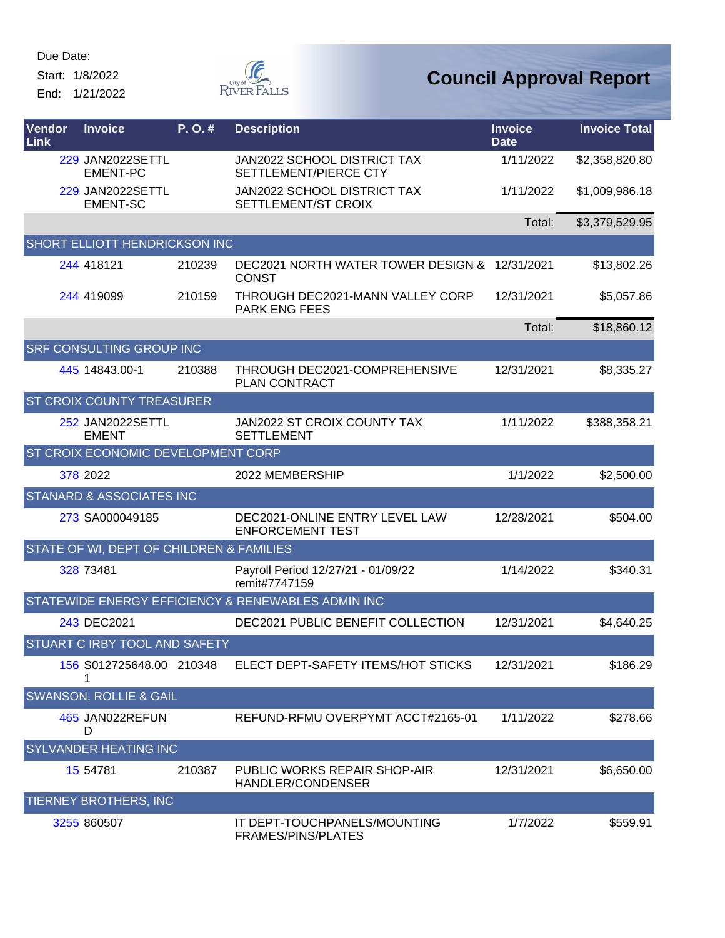Start: 1/8/2022

End: 1/21/2022



| Vendor<br><b>Link</b> | <b>Invoice</b>                             | P.O.#  | <b>Description</b>                                            | <b>Invoice</b><br><b>Date</b> | <b>Invoice Total</b> |
|-----------------------|--------------------------------------------|--------|---------------------------------------------------------------|-------------------------------|----------------------|
|                       | <b>229 JAN2022SETTL</b><br><b>EMENT-PC</b> |        | <b>JAN2022 SCHOOL DISTRICT TAX</b><br>SETTLEMENT/PIERCE CTY   | 1/11/2022                     | \$2,358,820.80       |
|                       | <b>229 JAN2022SETTL</b><br><b>EMENT-SC</b> |        | <b>JAN2022 SCHOOL DISTRICT TAX</b><br>SETTLEMENT/ST CROIX     | 1/11/2022                     | \$1,009,986.18       |
|                       |                                            |        |                                                               | Total:                        | \$3,379,529.95       |
|                       | SHORT ELLIOTT HENDRICKSON INC              |        |                                                               |                               |                      |
|                       | 244 418121                                 | 210239 | DEC2021 NORTH WATER TOWER DESIGN & 12/31/2021<br><b>CONST</b> |                               | \$13,802.26          |
|                       | 244 419099                                 | 210159 | THROUGH DEC2021-MANN VALLEY CORP<br><b>PARK ENG FEES</b>      | 12/31/2021                    | \$5,057.86           |
|                       |                                            |        |                                                               | Total:                        | \$18,860.12          |
|                       | SRF CONSULTING GROUP INC                   |        |                                                               |                               |                      |
|                       | 445 14843.00-1                             | 210388 | THROUGH DEC2021-COMPREHENSIVE<br>PLAN CONTRACT                | 12/31/2021                    | \$8,335.27           |
|                       | <b>ST CROIX COUNTY TREASURER</b>           |        |                                                               |                               |                      |
|                       | 252 JAN2022SETTL<br><b>EMENT</b>           |        | <b>JAN2022 ST CROIX COUNTY TAX</b><br><b>SETTLEMENT</b>       | 1/11/2022                     | \$388,358.21         |
|                       | ST CROIX ECONOMIC DEVELOPMENT CORP         |        |                                                               |                               |                      |
|                       | 378 2022                                   |        | 2022 MEMBERSHIP                                               | 1/1/2022                      | \$2,500.00           |
|                       | STANARD & ASSOCIATES INC                   |        |                                                               |                               |                      |
|                       | 273 SA000049185                            |        | DEC2021-ONLINE ENTRY LEVEL LAW<br><b>ENFORCEMENT TEST</b>     | 12/28/2021                    | \$504.00             |
|                       | STATE OF WI, DEPT OF CHILDREN & FAMILIES   |        |                                                               |                               |                      |
|                       | 328 73481                                  |        | Payroll Period 12/27/21 - 01/09/22<br>remit#7747159           | 1/14/2022                     | \$340.31             |
|                       |                                            |        | STATEWIDE ENERGY EFFICIENCY & RENEWABLES ADMIN INC            |                               |                      |
|                       | 243 DEC2021                                |        | DEC2021 PUBLIC BENEFIT COLLECTION                             | 12/31/2021                    | \$4,640.25           |
|                       | STUART C IRBY TOOL AND SAFETY              |        |                                                               |                               |                      |
|                       | 156 S012725648.00 210348<br>1              |        | ELECT DEPT-SAFETY ITEMS/HOT STICKS                            | 12/31/2021                    | \$186.29             |
|                       | <b>SWANSON, ROLLIE &amp; GAIL</b>          |        |                                                               |                               |                      |
|                       | 465 JAN022REFUN<br>D                       |        | REFUND-RFMU OVERPYMT ACCT#2165-01                             | 1/11/2022                     | \$278.66             |
|                       | <b>SYLVANDER HEATING INC</b>               |        |                                                               |                               |                      |
|                       | 15 54781                                   | 210387 | PUBLIC WORKS REPAIR SHOP-AIR<br>HANDLER/CONDENSER             | 12/31/2021                    | \$6,650.00           |
|                       | TIERNEY BROTHERS, INC                      |        |                                                               |                               |                      |
|                       | 3255 860507                                |        | IT DEPT-TOUCHPANELS/MOUNTING<br>FRAMES/PINS/PLATES            | 1/7/2022                      | \$559.91             |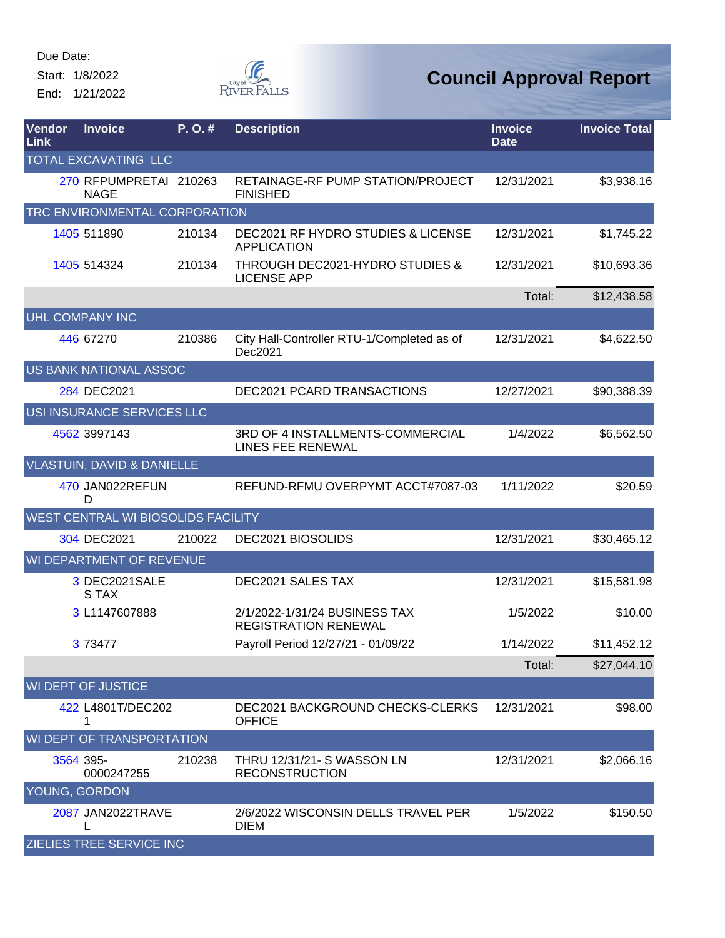Start: 1/8/2022

End: 1/21/2022



| Vendor<br>Link | <b>Invoice</b>                        | P.O.#  | <b>Description</b>                                                  | <b>Invoice</b><br><b>Date</b> | <b>Invoice Total</b> |
|----------------|---------------------------------------|--------|---------------------------------------------------------------------|-------------------------------|----------------------|
|                | <b>TOTAL EXCAVATING LLC</b>           |        |                                                                     |                               |                      |
|                | 270 RFPUMPRETAI 210263<br><b>NAGE</b> |        | RETAINAGE-RF PUMP STATION/PROJECT<br><b>FINISHED</b>                | 12/31/2021                    | \$3,938.16           |
|                | TRC ENVIRONMENTAL CORPORATION         |        |                                                                     |                               |                      |
|                | 1405 511890                           | 210134 | <b>DEC2021 RF HYDRO STUDIES &amp; LICENSE</b><br><b>APPLICATION</b> | 12/31/2021                    | \$1,745.22           |
|                | 1405 514324                           | 210134 | THROUGH DEC2021-HYDRO STUDIES &<br><b>LICENSE APP</b>               | 12/31/2021                    | \$10,693.36          |
|                |                                       |        |                                                                     | Total:                        | \$12,438.58          |
|                | <b>UHL COMPANY INC</b>                |        |                                                                     |                               |                      |
|                | 446 67270                             | 210386 | City Hall-Controller RTU-1/Completed as of<br>Dec2021               | 12/31/2021                    | \$4,622.50           |
|                | US BANK NATIONAL ASSOC                |        |                                                                     |                               |                      |
|                | 284 DEC2021                           |        | DEC2021 PCARD TRANSACTIONS                                          | 12/27/2021                    | \$90,388.39          |
|                | USI INSURANCE SERVICES LLC            |        |                                                                     |                               |                      |
|                | 4562 3997143                          |        | 3RD OF 4 INSTALLMENTS-COMMERCIAL<br><b>LINES FEE RENEWAL</b>        | 1/4/2022                      | \$6,562.50           |
|                | <b>VLASTUIN, DAVID &amp; DANIELLE</b> |        |                                                                     |                               |                      |
|                | 470 JAN022REFUN<br>D                  |        | REFUND-RFMU OVERPYMT ACCT#7087-03                                   | 1/11/2022                     | \$20.59              |
|                | WEST CENTRAL WI BIOSOLIDS FACILITY    |        |                                                                     |                               |                      |
|                | 304 DEC2021                           | 210022 | DEC2021 BIOSOLIDS                                                   | 12/31/2021                    | \$30,465.12          |
|                | WI DEPARTMENT OF REVENUE              |        |                                                                     |                               |                      |
|                | 3 DEC2021SALE<br>S TAX                |        | <b>DEC2021 SALES TAX</b>                                            | 12/31/2021                    | \$15,581.98          |
|                | 3 L1147607888                         |        | 2/1/2022-1/31/24 BUSINESS TAX<br><b>REGISTRATION RENEWAL</b>        | 1/5/2022                      | \$10.00              |
|                | 3 73477                               |        | Payroll Period 12/27/21 - 01/09/22                                  | 1/14/2022                     | \$11,452.12          |
|                |                                       |        |                                                                     | Total:                        | \$27,044.10          |
|                | WI DEPT OF JUSTICE                    |        |                                                                     |                               |                      |
|                | 422 L4801T/DEC202<br>1                |        | DEC2021 BACKGROUND CHECKS-CLERKS<br><b>OFFICE</b>                   | 12/31/2021                    | \$98.00              |
|                | WI DEPT OF TRANSPORTATION             |        |                                                                     |                               |                      |
|                | 3564 395-<br>0000247255               | 210238 | <b>THRU 12/31/21- S WASSON LN</b><br><b>RECONSTRUCTION</b>          | 12/31/2021                    | \$2,066.16           |
|                | YOUNG, GORDON                         |        |                                                                     |                               |                      |
|                | 2087 JAN2022TRAVE                     |        | 2/6/2022 WISCONSIN DELLS TRAVEL PER<br><b>DIEM</b>                  | 1/5/2022                      | \$150.50             |
|                | <b>ZIELIES TREE SERVICE INC</b>       |        |                                                                     |                               |                      |